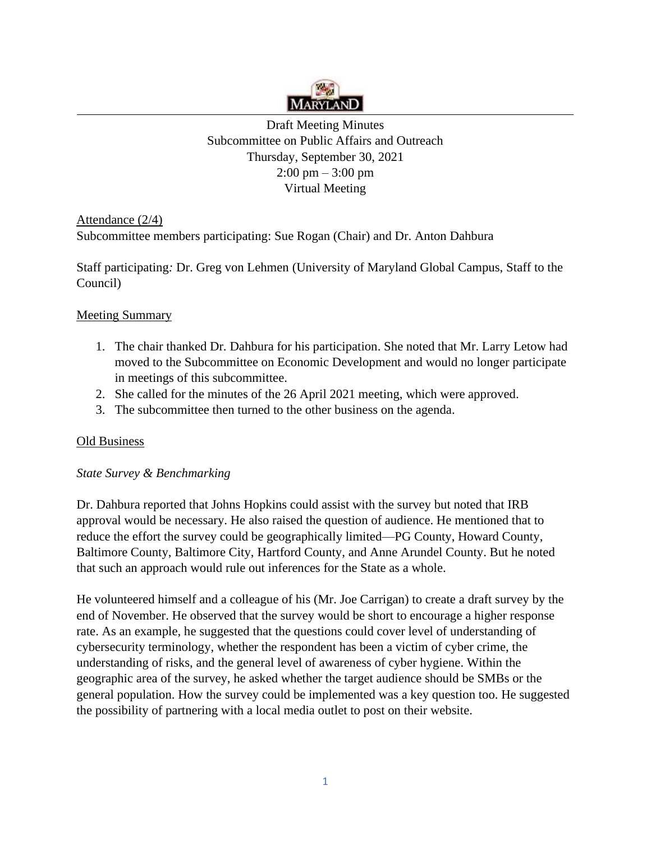

Draft Meeting Minutes Subcommittee on Public Affairs and Outreach Thursday, September 30, 2021  $2:00 \text{ pm} - 3:00 \text{ pm}$ Virtual Meeting

Attendance (2/4) Subcommittee members participating: Sue Rogan (Chair) and Dr. Anton Dahbura

Staff participating*:* Dr. Greg von Lehmen (University of Maryland Global Campus, Staff to the Council)

## Meeting Summary

- 1. The chair thanked Dr. Dahbura for his participation. She noted that Mr. Larry Letow had moved to the Subcommittee on Economic Development and would no longer participate in meetings of this subcommittee.
- 2. She called for the minutes of the 26 April 2021 meeting, which were approved.
- 3. The subcommittee then turned to the other business on the agenda.

## Old Business

## *State Survey & Benchmarking*

Dr. Dahbura reported that Johns Hopkins could assist with the survey but noted that IRB approval would be necessary. He also raised the question of audience. He mentioned that to reduce the effort the survey could be geographically limited—PG County, Howard County, Baltimore County, Baltimore City, Hartford County, and Anne Arundel County. But he noted that such an approach would rule out inferences for the State as a whole.

He volunteered himself and a colleague of his (Mr. Joe Carrigan) to create a draft survey by the end of November. He observed that the survey would be short to encourage a higher response rate. As an example, he suggested that the questions could cover level of understanding of cybersecurity terminology, whether the respondent has been a victim of cyber crime, the understanding of risks, and the general level of awareness of cyber hygiene. Within the geographic area of the survey, he asked whether the target audience should be SMBs or the general population. How the survey could be implemented was a key question too. He suggested the possibility of partnering with a local media outlet to post on their website.